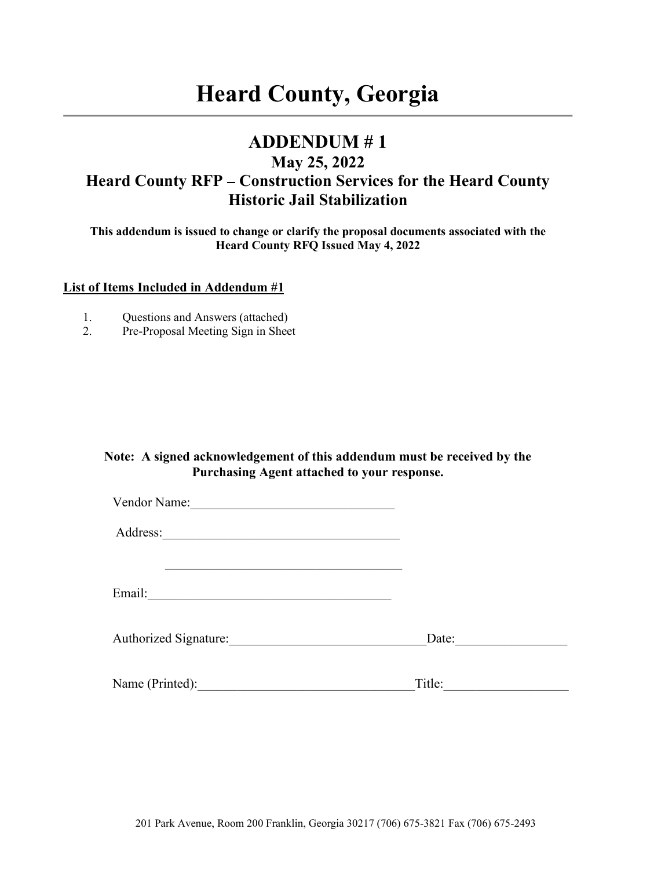# **Heard County, Georgia**

## **ADDENDUM # 1**

### **May 25, 2022**  Heard County RFP – Construction Services for the Heard County **Historic Jail Stabilization**

**This addendum is issued to change or clarify the proposal documents associated with the Heard County RFQ Issued May 4, 2022** 

#### **List of Items Included in Addendum #1**

- 1. Questions and Answers (attached)
- 2. Pre-Proposal Meeting Sign in Sheet

#### **Note: A signed acknowledgement of this addendum must be received by the Purchasing Agent attached to your response.**

| Vendor Name:                 |        |
|------------------------------|--------|
| Address:                     |        |
| Email:                       |        |
| <b>Authorized Signature:</b> | Date:  |
| Name (Printed):              | Title: |